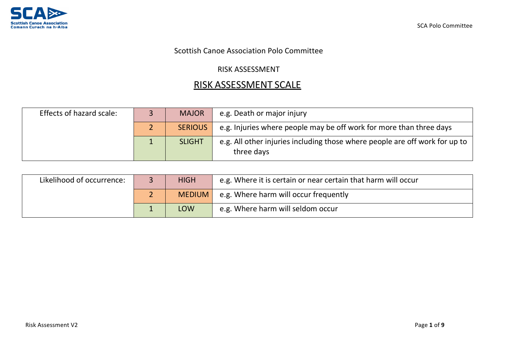

## Scottish Canoe Association Polo Committee

## RISK ASSESSMENT

## RISK ASSESSMENT SCALE

| Effects of hazard scale: | <b>MAJOR</b>   | e.g. Death or major injury                                                                |
|--------------------------|----------------|-------------------------------------------------------------------------------------------|
|                          | <b>SERIOUS</b> | e.g. Injuries where people may be off work for more than three days                       |
|                          | <b>SLIGHT</b>  | e.g. All other injuries including those where people are off work for up to<br>three days |

| Likelihood of occurrence: |    | <b>HIGH</b>   | e.g. Where it is certain or near certain that harm will occur |
|---------------------------|----|---------------|---------------------------------------------------------------|
|                           |    | <b>MEDIUM</b> | e.g. Where harm will occur frequently                         |
|                           | -- | <b>LOW</b>    | e.g. Where harm will seldom occur                             |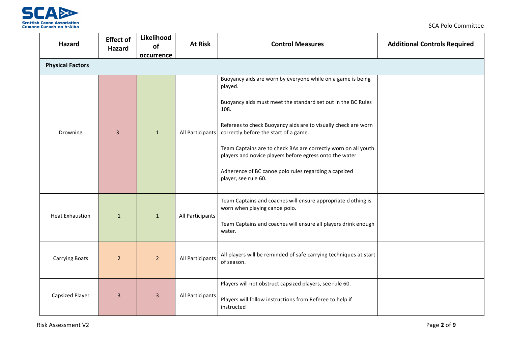

| Hazard                  | <b>Effect of</b><br><b>Hazard</b> | Likelihood<br>of<br>occurrence | <b>At Risk</b>   | <b>Control Measures</b>                                                                                                                                                                                                                                                                                                                                                                                                                                                 | <b>Additional Controls Required</b> |
|-------------------------|-----------------------------------|--------------------------------|------------------|-------------------------------------------------------------------------------------------------------------------------------------------------------------------------------------------------------------------------------------------------------------------------------------------------------------------------------------------------------------------------------------------------------------------------------------------------------------------------|-------------------------------------|
| <b>Physical Factors</b> |                                   |                                |                  |                                                                                                                                                                                                                                                                                                                                                                                                                                                                         |                                     |
| Drowning                | 3                                 | $\mathbf{1}$                   | All Participants | Buoyancy aids are worn by everyone while on a game is being<br>played.<br>Buoyancy aids must meet the standard set out in the BC Rules<br>108.<br>Referees to check Buoyancy aids are to visually check are worn<br>correctly before the start of a game.<br>Team Captains are to check BAs are correctly worn on all youth<br>players and novice players before egress onto the water<br>Adherence of BC canoe polo rules regarding a capsized<br>player, see rule 60. |                                     |
| <b>Heat Exhaustion</b>  | $\mathbf{1}$                      | $\mathbf{1}$                   | All Participants | Team Captains and coaches will ensure appropriate clothing is<br>worn when playing canoe polo.<br>Team Captains and coaches will ensure all players drink enough<br>water.                                                                                                                                                                                                                                                                                              |                                     |
| <b>Carrying Boats</b>   | $\overline{2}$                    | $\overline{2}$                 | All Participants | All players will be reminded of safe carrying techniques at start<br>of season.                                                                                                                                                                                                                                                                                                                                                                                         |                                     |
| <b>Capsized Player</b>  | $\overline{3}$                    | $\overline{3}$                 | All Participants | Players will not obstruct capsized players, see rule 60.<br>Players will follow instructions from Referee to help if<br>instructed                                                                                                                                                                                                                                                                                                                                      |                                     |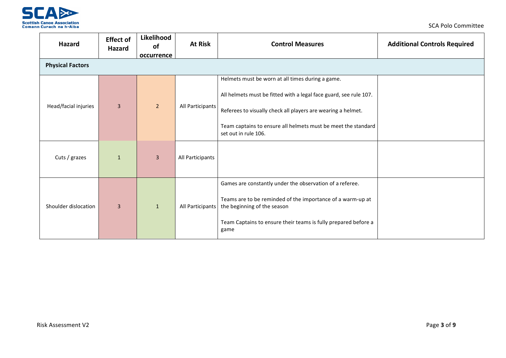

| Hazard                  | <b>Effect of</b><br>Hazard | Likelihood<br>of | <b>At Risk</b>   | <b>Control Measures</b>                                                                                                                                                                                                                                                        | <b>Additional Controls Required</b> |
|-------------------------|----------------------------|------------------|------------------|--------------------------------------------------------------------------------------------------------------------------------------------------------------------------------------------------------------------------------------------------------------------------------|-------------------------------------|
| <b>Physical Factors</b> |                            | occurrence       |                  |                                                                                                                                                                                                                                                                                |                                     |
| Head/facial injuries    | $\overline{3}$             | $\overline{2}$   | All Participants | Helmets must be worn at all times during a game.<br>All helmets must be fitted with a legal face guard, see rule 107.<br>Referees to visually check all players are wearing a helmet.<br>Team captains to ensure all helmets must be meet the standard<br>set out in rule 106. |                                     |
| Cuts / grazes           | $\mathbf{1}$               | $\overline{3}$   | All Participants |                                                                                                                                                                                                                                                                                |                                     |
| Shoulder dislocation    | $\overline{3}$             | $\mathbf{1}$     | All Participants | Games are constantly under the observation of a referee.<br>Teams are to be reminded of the importance of a warm-up at<br>the beginning of the season<br>Team Captains to ensure their teams is fully prepared before a<br>game                                                |                                     |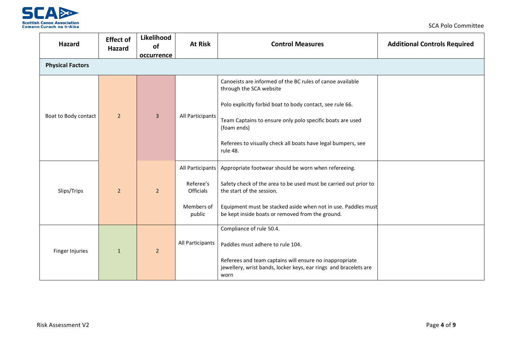

| <b>Hazard</b>           | <b>Effect of</b><br>Hazard | Likelihood<br>of<br>occurrence | <b>At Risk</b>                | <b>Control Measures</b>                                                                                                             | <b>Additional Controls Required</b> |  |  |  |
|-------------------------|----------------------------|--------------------------------|-------------------------------|-------------------------------------------------------------------------------------------------------------------------------------|-------------------------------------|--|--|--|
| <b>Physical Factors</b> |                            |                                |                               |                                                                                                                                     |                                     |  |  |  |
|                         |                            |                                |                               | Canoeists are informed of the BC rules of canoe available<br>through the SCA website                                                |                                     |  |  |  |
|                         |                            |                                |                               | Polo explicitly forbid boat to body contact, see rule 66.                                                                           |                                     |  |  |  |
| Boat to Body contact    | 2 <sup>1</sup>             | $\overline{3}$                 | All Participants              | Team Captains to ensure only polo specific boats are used<br>(foam ends)                                                            |                                     |  |  |  |
|                         |                            |                                |                               | Referees to visually check all boats have legal bumpers, see<br>rule 48.                                                            |                                     |  |  |  |
|                         |                            |                                | All Participants              | Appropriate footwear should be worn when refereeing.                                                                                |                                     |  |  |  |
| Slips/Trips             | $\overline{2}$             | $\overline{2}$                 | Referee's<br><b>Officials</b> | Safety check of the area to be used must be carried out prior to<br>the start of the session.                                       |                                     |  |  |  |
|                         |                            |                                | Members of<br>public          | Equipment must be stacked aside when not in use. Paddles must<br>be kept inside boats or removed from the ground.                   |                                     |  |  |  |
|                         |                            |                                |                               | Compliance of rule 50.4.                                                                                                            |                                     |  |  |  |
| Finger Injuries         | $\mathbf{1}$               | $\overline{2}$                 | All Participants              | Paddles must adhere to rule 104.                                                                                                    |                                     |  |  |  |
|                         |                            |                                |                               | Referees and team captains will ensure no inappropriate<br>jewellery, wrist bands, locker keys, ear rings and bracelets are<br>worn |                                     |  |  |  |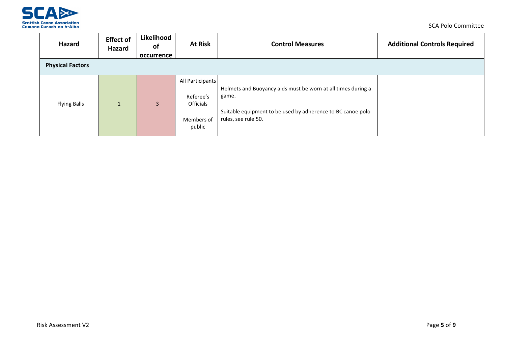

| Hazard                  | <b>Effect of</b><br>Hazard | Likelihood<br>0f<br>occurrence | <b>At Risk</b>                                                            | <b>Control Measures</b>                                                                                                                                     | <b>Additional Controls Required</b> |
|-------------------------|----------------------------|--------------------------------|---------------------------------------------------------------------------|-------------------------------------------------------------------------------------------------------------------------------------------------------------|-------------------------------------|
| <b>Physical Factors</b> |                            |                                |                                                                           |                                                                                                                                                             |                                     |
| <b>Flying Balls</b>     |                            | $\overline{3}$                 | All Participants<br>Referee's<br><b>Officials</b><br>Members of<br>public | Helmets and Buoyancy aids must be worn at all times during a<br>game.<br>Suitable equipment to be used by adherence to BC canoe polo<br>rules, see rule 50. |                                     |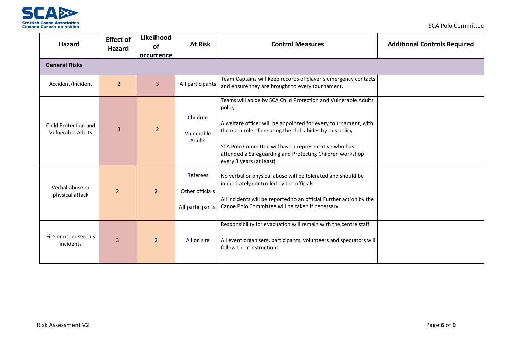

| Hazard                                           | <b>Effect of</b><br><b>Hazard</b> | Likelihood<br>of | <b>At Risk</b>                                   | <b>Control Measures</b>                                                                                                                                                                                                                                                                                                                                   | <b>Additional Controls Required</b> |  |  |  |  |
|--------------------------------------------------|-----------------------------------|------------------|--------------------------------------------------|-----------------------------------------------------------------------------------------------------------------------------------------------------------------------------------------------------------------------------------------------------------------------------------------------------------------------------------------------------------|-------------------------------------|--|--|--|--|
|                                                  |                                   | occurrence       |                                                  |                                                                                                                                                                                                                                                                                                                                                           |                                     |  |  |  |  |
| <b>General Risks</b>                             |                                   |                  |                                                  |                                                                                                                                                                                                                                                                                                                                                           |                                     |  |  |  |  |
| Accident/Incident                                | $\overline{2}$                    | $\overline{3}$   | All participants                                 | Team Captains will keep records of player's emergency contacts<br>and ensure they are brought to every tournament.                                                                                                                                                                                                                                        |                                     |  |  |  |  |
| Child Protection and<br><b>Vulnerable Adults</b> | 3                                 | $\overline{2}$   | Children<br>Vulnerable<br>Adults                 | Teams will abide by SCA Child Protection and Vulnerable Adults<br>policy.<br>A welfare officer will be appointed for every tournament, with<br>the main role of ensuring the club abides by this policy.<br>SCA Polo Committee will have a representative who has<br>attended a Safeguarding and Protecting Children workshop<br>every 3 years (at least) |                                     |  |  |  |  |
| Verbal abuse or<br>physical attack               | $\overline{2}$                    | $\overline{2}$   | Referees<br>Other officials<br>All participants. | No verbal or physical abuse will be tolerated and should be<br>immediately controlled by the officials.<br>All incidents will be reported to an official Further action by the<br>Canoe Polo Committee will be taken if necessary                                                                                                                         |                                     |  |  |  |  |
| Fire or other serious<br>incidents               | $\overline{3}$                    | $\overline{2}$   | All on site                                      | Responsibility for evacuation will remain with the centre staff.<br>All event organisers, participants, volunteers and spectators will<br>follow their instructions.                                                                                                                                                                                      |                                     |  |  |  |  |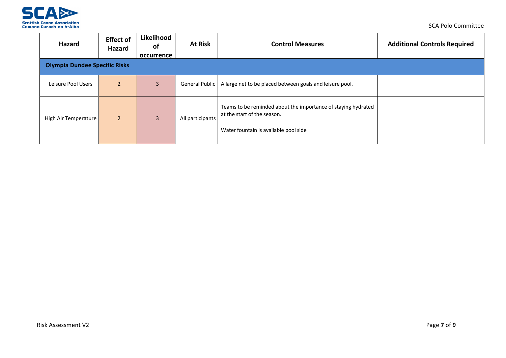

| Hazard                               | <b>Effect of</b><br>Hazard | Likelihood<br><b>of</b><br>occurrence | <b>At Risk</b>   | <b>Control Measures</b>                                                                                                               | <b>Additional Controls Required</b> |
|--------------------------------------|----------------------------|---------------------------------------|------------------|---------------------------------------------------------------------------------------------------------------------------------------|-------------------------------------|
| <b>Olympia Dundee Specific Risks</b> |                            |                                       |                  |                                                                                                                                       |                                     |
| Leisure Pool Users                   | $\overline{2}$             | 3                                     | General Public   | A large net to be placed between goals and leisure pool.                                                                              |                                     |
| High Air Temperature                 | $\overline{2}$             | 3                                     | All participants | Teams to be reminded about the importance of staying hydrated<br>at the start of the season.<br>Water fountain is available pool side |                                     |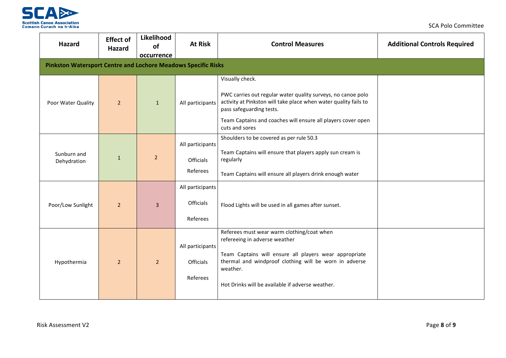

| Hazard                                                               | <b>Effect of</b><br><b>Hazard</b> | Likelihood<br>of<br>occurrence | <b>At Risk</b>                                   | <b>Control Measures</b>                                                                                                                                                                                                                                           | <b>Additional Controls Required</b> |
|----------------------------------------------------------------------|-----------------------------------|--------------------------------|--------------------------------------------------|-------------------------------------------------------------------------------------------------------------------------------------------------------------------------------------------------------------------------------------------------------------------|-------------------------------------|
| <b>Pinkston Watersport Centre and Lochore Meadows Specific Risks</b> |                                   |                                |                                                  |                                                                                                                                                                                                                                                                   |                                     |
| Poor Water Quality                                                   | $\overline{2}$                    | $\mathbf{1}$                   | All participants                                 | Visually check.<br>PWC carries out regular water quality surveys, no canoe polo<br>activity at Pinkston will take place when water quality fails to<br>pass safeguarding tests.<br>Team Captains and coaches will ensure all players cover open<br>cuts and sores |                                     |
| Sunburn and<br>Dehydration                                           | $\mathbf{1}$                      | $\overline{2}$                 | All participants<br><b>Officials</b><br>Referees | Shoulders to be covered as per rule 50.3<br>Team Captains will ensure that players apply sun cream is<br>regularly<br>Team Captains will ensure all players drink enough water                                                                                    |                                     |
| Poor/Low Sunlight                                                    | $\overline{2}$                    | $\overline{3}$                 | All participants<br><b>Officials</b><br>Referees | Flood Lights will be used in all games after sunset.                                                                                                                                                                                                              |                                     |
| Hypothermia                                                          | $\overline{2}$                    | $\overline{2}$                 | All participants<br>Officials<br>Referees        | Referees must wear warm clothing/coat when<br>refereeing in adverse weather<br>Team Captains will ensure all players wear appropriate<br>thermal and windproof clothing will be worn in adverse<br>weather.<br>Hot Drinks will be available if adverse weather.   |                                     |